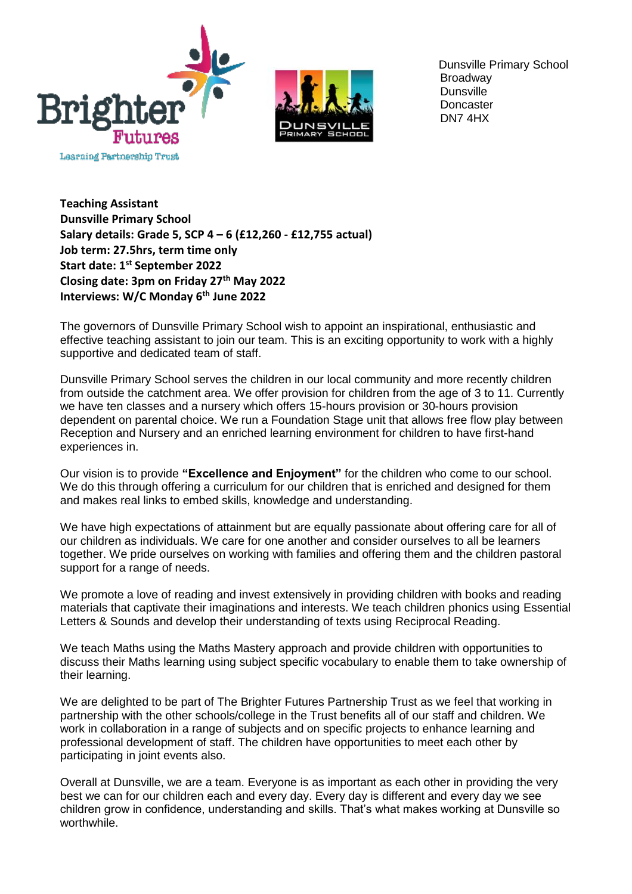

 Dunsville Primary School **Broadway Dunsville Doncaster** DN7 4HX

**Teaching Assistant Dunsville Primary School Salary details: Grade 5, SCP 4 – 6 (£12,260 - £12,755 actual) Job term: 27.5hrs, term time only Start date: 1 st September 2022 Closing date: 3pm on Friday 27th May 2022 Interviews: W/C Monday 6th June 2022**

The governors of Dunsville Primary School wish to appoint an inspirational, enthusiastic and effective teaching assistant to join our team. This is an exciting opportunity to work with a highly supportive and dedicated team of staff.

Dunsville Primary School serves the children in our local community and more recently children from outside the catchment area. We offer provision for children from the age of 3 to 11. Currently we have ten classes and a nursery which offers 15-hours provision or 30-hours provision dependent on parental choice. We run a Foundation Stage unit that allows free flow play between Reception and Nursery and an enriched learning environment for children to have first-hand experiences in.

Our vision is to provide **"Excellence and Enjoyment"** for the children who come to our school. We do this through offering a curriculum for our children that is enriched and designed for them and makes real links to embed skills, knowledge and understanding.

We have high expectations of attainment but are equally passionate about offering care for all of our children as individuals. We care for one another and consider ourselves to all be learners together. We pride ourselves on working with families and offering them and the children pastoral support for a range of needs.

We promote a love of reading and invest extensively in providing children with books and reading materials that captivate their imaginations and interests. We teach children phonics using Essential Letters & Sounds and develop their understanding of texts using Reciprocal Reading.

We teach Maths using the Maths Mastery approach and provide children with opportunities to discuss their Maths learning using subject specific vocabulary to enable them to take ownership of their learning.

We are delighted to be part of The Brighter Futures Partnership Trust as we feel that working in partnership with the other schools/college in the Trust benefits all of our staff and children. We work in collaboration in a range of subjects and on specific projects to enhance learning and professional development of staff. The children have opportunities to meet each other by participating in joint events also.

Overall at Dunsville, we are a team. Everyone is as important as each other in providing the very best we can for our children each and every day. Every day is different and every day we see children grow in confidence, understanding and skills. That's what makes working at Dunsville so worthwhile.